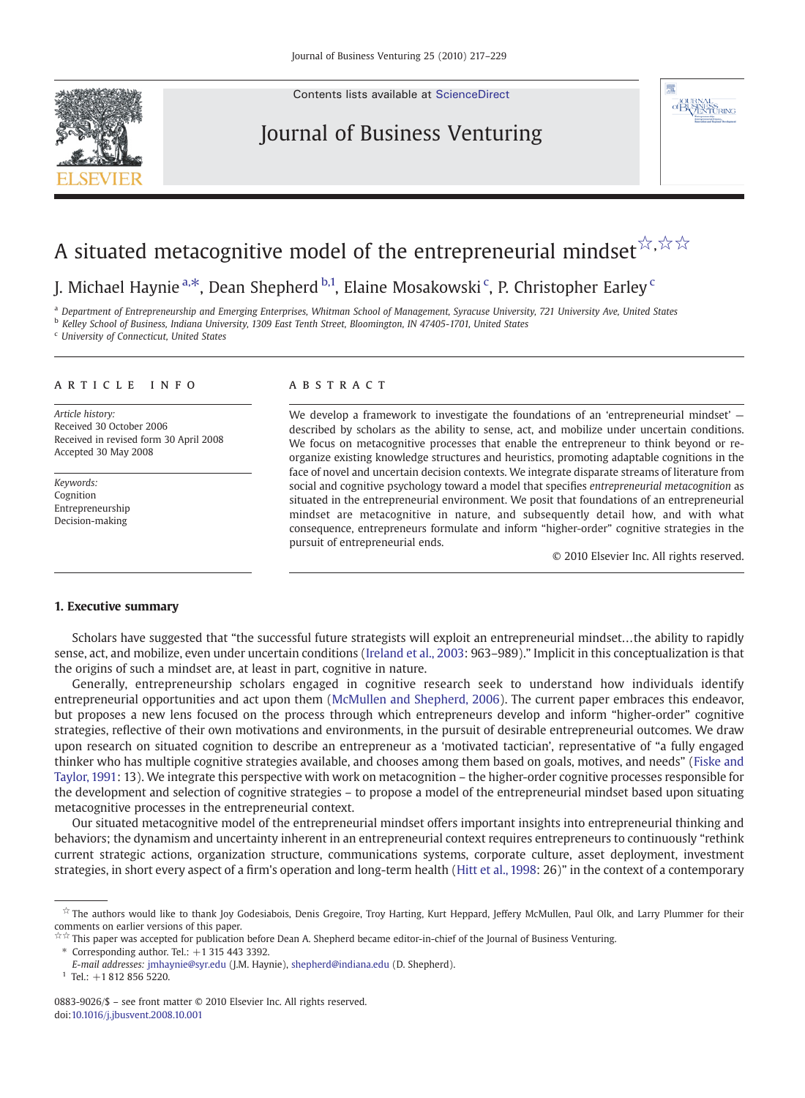

Contents lists available at [ScienceDirect](http://www.sciencedirect.com/science/journal/08839026)

# Journal of Business Venturing



# A situated metacognitive model of the entrepreneurial mindset $\mathbb{X}, \mathbb{X} \times \mathbb{X}$

## J. Michael Haynie <sup>a, $\ast$ </sup>, Dean Shepherd <sup>b,1</sup>, Elaine Mosakowski <sup>c</sup>, P. Christopher Earley <sup>c</sup>

<sup>a</sup> Department of Entrepreneurship and Emerging Enterprises, Whitman School of Management, Syracuse University, 721 University Ave, United States

<sup>b</sup> Kelley School of Business, Indiana University, 1309 East Tenth Street, Bloomington, IN 47405-1701, United States

<sup>c</sup> University of Connecticut, United States

#### article info abstract

Article history: Received 30 October 2006 Received in revised form 30 April 2008 Accepted 30 May 2008

Keywords: Cognition Entrepreneurship Decision-making

We develop a framework to investigate the foundations of an 'entrepreneurial mindset' – described by scholars as the ability to sense, act, and mobilize under uncertain conditions. We focus on metacognitive processes that enable the entrepreneur to think beyond or reorganize existing knowledge structures and heuristics, promoting adaptable cognitions in the face of novel and uncertain decision contexts. We integrate disparate streams of literature from social and cognitive psychology toward a model that specifies entrepreneurial metacognition as situated in the entrepreneurial environment. We posit that foundations of an entrepreneurial mindset are metacognitive in nature, and subsequently detail how, and with what consequence, entrepreneurs formulate and inform "higher-order" cognitive strategies in the pursuit of entrepreneurial ends.

© 2010 Elsevier Inc. All rights reserved.

#### 1. Executive summary

Scholars have suggested that "the successful future strategists will exploit an entrepreneurial mindset…the ability to rapidly sense, act, and mobilize, even under uncertain conditions [\(Ireland et al., 2003:](#page-11-0) 963–989)." Implicit in this conceptualization is that the origins of such a mindset are, at least in part, cognitive in nature.

Generally, entrepreneurship scholars engaged in cognitive research seek to understand how individuals identify entrepreneurial opportunities and act upon them ([McMullen and Shepherd, 2006\)](#page-11-0). The current paper embraces this endeavor, but proposes a new lens focused on the process through which entrepreneurs develop and inform "higher-order" cognitive strategies, reflective of their own motivations and environments, in the pursuit of desirable entrepreneurial outcomes. We draw upon research on situated cognition to describe an entrepreneur as a 'motivated tactician', representative of "a fully engaged thinker who has multiple cognitive strategies available, and chooses among them based on goals, motives, and needs" [\(Fiske and](#page-11-0) [Taylor, 1991](#page-11-0): 13). We integrate this perspective with work on metacognition – the higher-order cognitive processes responsible for the development and selection of cognitive strategies – to propose a model of the entrepreneurial mindset based upon situating metacognitive processes in the entrepreneurial context.

Our situated metacognitive model of the entrepreneurial mindset offers important insights into entrepreneurial thinking and behaviors; the dynamism and uncertainty inherent in an entrepreneurial context requires entrepreneurs to continuously "rethink current strategic actions, organization structure, communications systems, corporate culture, asset deployment, investment strategies, in short every aspect of a firm's operation and long-term health ([Hitt et al., 1998:](#page-11-0) 26)" in the context of a contemporary

 $*$  Corresponding author. Tel.:  $+1$  315 443 3392.

 $1$  Tel.: +1 812 856 5220.

<sup>☆</sup> The authors would like to thank Joy Godesiabois, Denis Gregoire, Troy Harting, Kurt Heppard, Jeffery McMullen, Paul Olk, and Larry Plummer for their comments on earlier versions of this paper.

<sup>☆☆</sup> This paper was accepted for publication before Dean A. Shepherd became editor-in-chief of the Journal of Business Venturing.

E-mail addresses: [jmhaynie@syr.edu](mailto:jmhaynie@syr.edu) (J.M. Haynie), [shepherd@indiana.edu](mailto:shepherd@indiana.edu) (D. Shepherd).

<sup>0883-9026/\$</sup> – see front matter © 2010 Elsevier Inc. All rights reserved. doi[:10.1016/j.jbusvent.2008.10.001](http://dx.doi.org/10.1016/j.jbusvent.2008.10.001)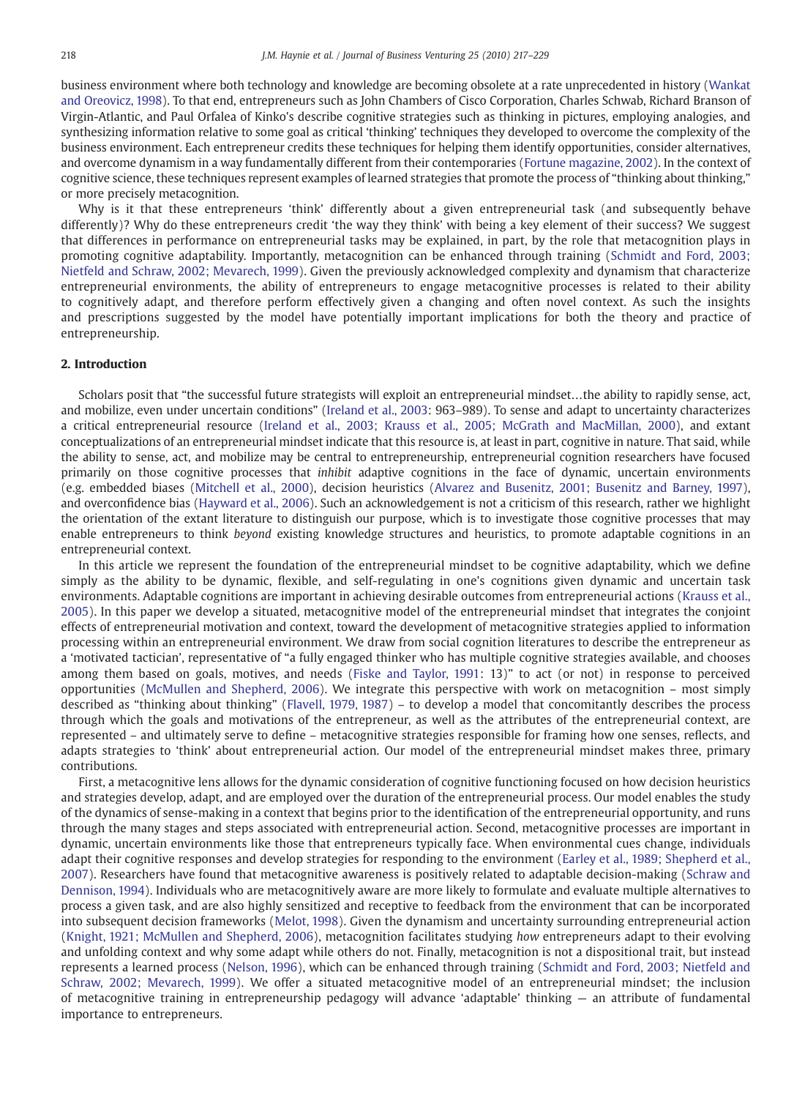business environment where both technology and knowledge are becoming obsolete at a rate unprecedented in history [\(Wankat](#page-12-0) [and Oreovicz, 1998\)](#page-12-0). To that end, entrepreneurs such as John Chambers of Cisco Corporation, Charles Schwab, Richard Branson of Virgin-Atlantic, and Paul Orfalea of Kinko's describe cognitive strategies such as thinking in pictures, employing analogies, and synthesizing information relative to some goal as critical 'thinking' techniques they developed to overcome the complexity of the business environment. Each entrepreneur credits these techniques for helping them identify opportunities, consider alternatives, and overcome dynamism in a way fundamentally different from their contemporaries ([Fortune magazine, 2002\)](#page-11-0). In the context of cognitive science, these techniques represent examples of learned strategies that promote the process of "thinking about thinking," or more precisely metacognition.

Why is it that these entrepreneurs 'think' differently about a given entrepreneurial task (and subsequently behave differently)? Why do these entrepreneurs credit 'the way they think' with being a key element of their success? We suggest that differences in performance on entrepreneurial tasks may be explained, in part, by the role that metacognition plays in promoting cognitive adaptability. Importantly, metacognition can be enhanced through training [\(Schmidt and Ford, 2003;](#page-11-0) [Nietfeld and Schraw, 2002; Mevarech, 1999\)](#page-11-0). Given the previously acknowledged complexity and dynamism that characterize entrepreneurial environments, the ability of entrepreneurs to engage metacognitive processes is related to their ability to cognitively adapt, and therefore perform effectively given a changing and often novel context. As such the insights and prescriptions suggested by the model have potentially important implications for both the theory and practice of entrepreneurship.

### 2. Introduction

Scholars posit that "the successful future strategists will exploit an entrepreneurial mindset…the ability to rapidly sense, act, and mobilize, even under uncertain conditions" ([Ireland et al., 2003](#page-11-0): 963–989). To sense and adapt to uncertainty characterizes a critical entrepreneurial resource ([Ireland et al., 2003; Krauss et al., 2005; McGrath and MacMillan, 2000\)](#page-11-0), and extant conceptualizations of an entrepreneurial mindset indicate that this resource is, at least in part, cognitive in nature. That said, while the ability to sense, act, and mobilize may be central to entrepreneurship, entrepreneurial cognition researchers have focused primarily on those cognitive processes that inhibit adaptive cognitions in the face of dynamic, uncertain environments (e.g. embedded biases [\(Mitchell et al., 2000\)](#page-11-0), decision heuristics ([Alvarez and Busenitz, 2001; Busenitz and Barney, 1997](#page-10-0)), and overconfidence bias [\(Hayward et al., 2006](#page-11-0)). Such an acknowledgement is not a criticism of this research, rather we highlight the orientation of the extant literature to distinguish our purpose, which is to investigate those cognitive processes that may enable entrepreneurs to think beyond existing knowledge structures and heuristics, to promote adaptable cognitions in an entrepreneurial context.

In this article we represent the foundation of the entrepreneurial mindset to be cognitive adaptability, which we define simply as the ability to be dynamic, flexible, and self-regulating in one's cognitions given dynamic and uncertain task environments. Adaptable cognitions are important in achieving desirable outcomes from entrepreneurial actions [\(Krauss et al.,](#page-11-0) [2005](#page-11-0)). In this paper we develop a situated, metacognitive model of the entrepreneurial mindset that integrates the conjoint effects of entrepreneurial motivation and context, toward the development of metacognitive strategies applied to information processing within an entrepreneurial environment. We draw from social cognition literatures to describe the entrepreneur as a 'motivated tactician', representative of "a fully engaged thinker who has multiple cognitive strategies available, and chooses among them based on goals, motives, and needs ([Fiske and Taylor, 1991:](#page-11-0) 13)" to act (or not) in response to perceived opportunities ([McMullen and Shepherd, 2006\)](#page-11-0). We integrate this perspective with work on metacognition – most simply described as "thinking about thinking" [\(Flavell, 1979, 1987\)](#page-11-0) – to develop a model that concomitantly describes the process through which the goals and motivations of the entrepreneur, as well as the attributes of the entrepreneurial context, are represented – and ultimately serve to define – metacognitive strategies responsible for framing how one senses, reflects, and adapts strategies to 'think' about entrepreneurial action. Our model of the entrepreneurial mindset makes three, primary contributions.

First, a metacognitive lens allows for the dynamic consideration of cognitive functioning focused on how decision heuristics and strategies develop, adapt, and are employed over the duration of the entrepreneurial process. Our model enables the study of the dynamics of sense-making in a context that begins prior to the identification of the entrepreneurial opportunity, and runs through the many stages and steps associated with entrepreneurial action. Second, metacognitive processes are important in dynamic, uncertain environments like those that entrepreneurs typically face. When environmental cues change, individuals adapt their cognitive responses and develop strategies for responding to the environment [\(Earley et al., 1989; Shepherd et al.,](#page-11-0) [2007\)](#page-11-0). Researchers have found that metacognitive awareness is positively related to adaptable decision-making [\(Schraw and](#page-11-0) [Dennison, 1994\)](#page-11-0). Individuals who are metacognitively aware are more likely to formulate and evaluate multiple alternatives to process a given task, and are also highly sensitized and receptive to feedback from the environment that can be incorporated into subsequent decision frameworks ([Melot, 1998\)](#page-11-0). Given the dynamism and uncertainty surrounding entrepreneurial action ([Knight, 1921; McMullen and Shepherd, 2006\)](#page-11-0), metacognition facilitates studying how entrepreneurs adapt to their evolving and unfolding context and why some adapt while others do not. Finally, metacognition is not a dispositional trait, but instead represents a learned process ([Nelson, 1996](#page-11-0)), which can be enhanced through training [\(Schmidt and Ford, 2003; Nietfeld and](#page-11-0) [Schraw, 2002; Mevarech, 1999\)](#page-11-0). We offer a situated metacognitive model of an entrepreneurial mindset; the inclusion of metacognitive training in entrepreneurship pedagogy will advance 'adaptable' thinking — an attribute of fundamental importance to entrepreneurs.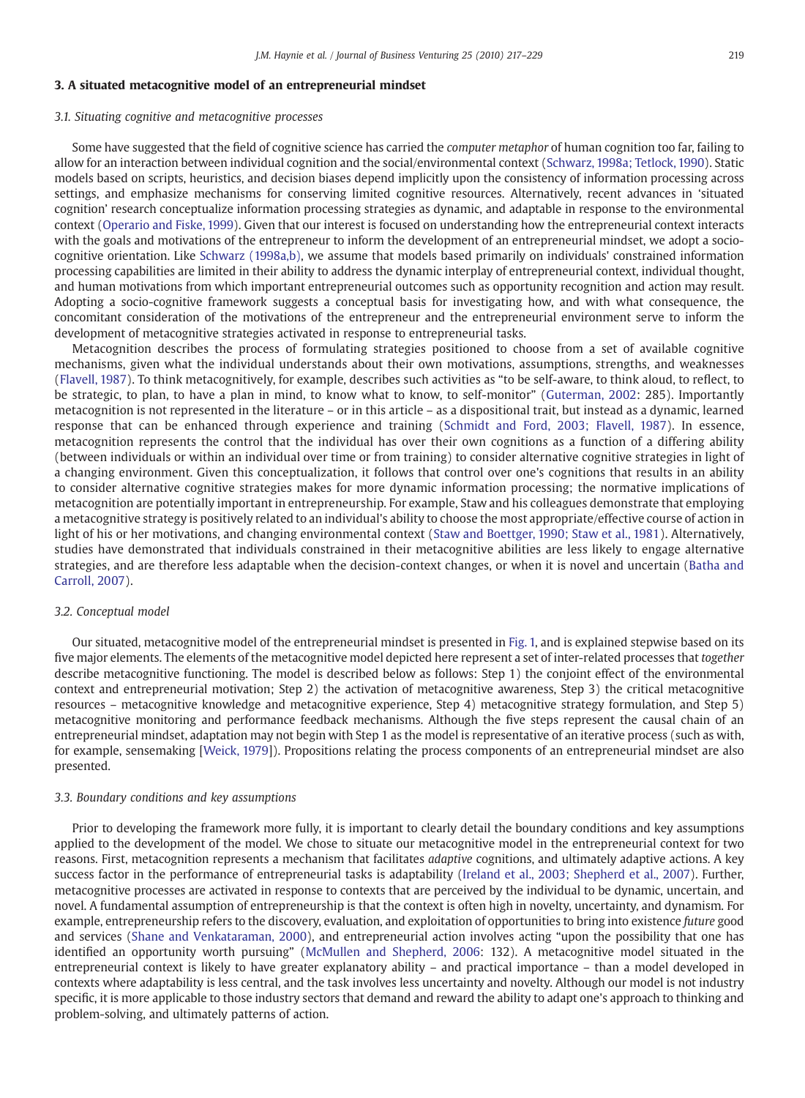#### 3. A situated metacognitive model of an entrepreneurial mindset

#### 3.1. Situating cognitive and metacognitive processes

Some have suggested that the field of cognitive science has carried the computer metaphor of human cognition too far, failing to allow for an interaction between individual cognition and the social/environmental context ([Schwarz, 1998a; Tetlock, 1990](#page-11-0)). Static models based on scripts, heuristics, and decision biases depend implicitly upon the consistency of information processing across settings, and emphasize mechanisms for conserving limited cognitive resources. Alternatively, recent advances in 'situated cognition' research conceptualize information processing strategies as dynamic, and adaptable in response to the environmental context [\(Operario and Fiske, 1999\)](#page-11-0). Given that our interest is focused on understanding how the entrepreneurial context interacts with the goals and motivations of the entrepreneur to inform the development of an entrepreneurial mindset, we adopt a sociocognitive orientation. Like [Schwarz \(1998a,b\)](#page-11-0), we assume that models based primarily on individuals' constrained information processing capabilities are limited in their ability to address the dynamic interplay of entrepreneurial context, individual thought, and human motivations from which important entrepreneurial outcomes such as opportunity recognition and action may result. Adopting a socio-cognitive framework suggests a conceptual basis for investigating how, and with what consequence, the concomitant consideration of the motivations of the entrepreneur and the entrepreneurial environment serve to inform the development of metacognitive strategies activated in response to entrepreneurial tasks.

Metacognition describes the process of formulating strategies positioned to choose from a set of available cognitive mechanisms, given what the individual understands about their own motivations, assumptions, strengths, and weaknesses [\(Flavell, 1987\)](#page-11-0). To think metacognitively, for example, describes such activities as "to be self-aware, to think aloud, to reflect, to be strategic, to plan, to have a plan in mind, to know what to know, to self-monitor" [\(Guterman, 2002](#page-11-0): 285). Importantly metacognition is not represented in the literature – or in this article – as a dispositional trait, but instead as a dynamic, learned response that can be enhanced through experience and training [\(Schmidt and Ford, 2003; Flavell, 1987\)](#page-11-0). In essence, metacognition represents the control that the individual has over their own cognitions as a function of a differing ability (between individuals or within an individual over time or from training) to consider alternative cognitive strategies in light of a changing environment. Given this conceptualization, it follows that control over one's cognitions that results in an ability to consider alternative cognitive strategies makes for more dynamic information processing; the normative implications of metacognition are potentially important in entrepreneurship. For example, Staw and his colleagues demonstrate that employing a metacognitive strategy is positively related to an individual's ability to choose the most appropriate/effective course of action in light of his or her motivations, and changing environmental context [\(Staw and Boettger, 1990;](#page-12-0) Staw et al., 1981). Alternatively, studies have demonstrated that individuals constrained in their metacognitive abilities are less likely to engage alternative strategies, and are therefore less adaptable when the decision-context changes, or when it is novel and uncertain ([Batha and](#page-10-0) [Carroll, 2007\)](#page-10-0).

#### 3.2. Conceptual model

Our situated, metacognitive model of the entrepreneurial mindset is presented in [Fig. 1,](#page-3-0) and is explained stepwise based on its five major elements. The elements of the metacognitive model depicted here represent a set of inter-related processes that together describe metacognitive functioning. The model is described below as follows: Step 1) the conjoint effect of the environmental context and entrepreneurial motivation; Step 2) the activation of metacognitive awareness, Step 3) the critical metacognitive resources – metacognitive knowledge and metacognitive experience, Step 4) metacognitive strategy formulation, and Step 5) metacognitive monitoring and performance feedback mechanisms. Although the five steps represent the causal chain of an entrepreneurial mindset, adaptation may not begin with Step 1 as the model is representative of an iterative process (such as with, for example, sensemaking [[Weick, 1979\]](#page-12-0)). Propositions relating the process components of an entrepreneurial mindset are also presented.

#### 3.3. Boundary conditions and key assumptions

Prior to developing the framework more fully, it is important to clearly detail the boundary conditions and key assumptions applied to the development of the model. We chose to situate our metacognitive model in the entrepreneurial context for two reasons. First, metacognition represents a mechanism that facilitates adaptive cognitions, and ultimately adaptive actions. A key success factor in the performance of entrepreneurial tasks is adaptability ([Ireland et al., 2003; Shepherd et al., 2007\)](#page-11-0). Further, metacognitive processes are activated in response to contexts that are perceived by the individual to be dynamic, uncertain, and novel. A fundamental assumption of entrepreneurship is that the context is often high in novelty, uncertainty, and dynamism. For example, entrepreneurship refers to the discovery, evaluation, and exploitation of opportunities to bring into existence future good and services [\(Shane and Venkataraman, 2000](#page-11-0)), and entrepreneurial action involves acting "upon the possibility that one has identified an opportunity worth pursuing" ([McMullen and Shepherd, 2006:](#page-11-0) 132). A metacognitive model situated in the entrepreneurial context is likely to have greater explanatory ability – and practical importance – than a model developed in contexts where adaptability is less central, and the task involves less uncertainty and novelty. Although our model is not industry specific, it is more applicable to those industry sectors that demand and reward the ability to adapt one's approach to thinking and problem-solving, and ultimately patterns of action.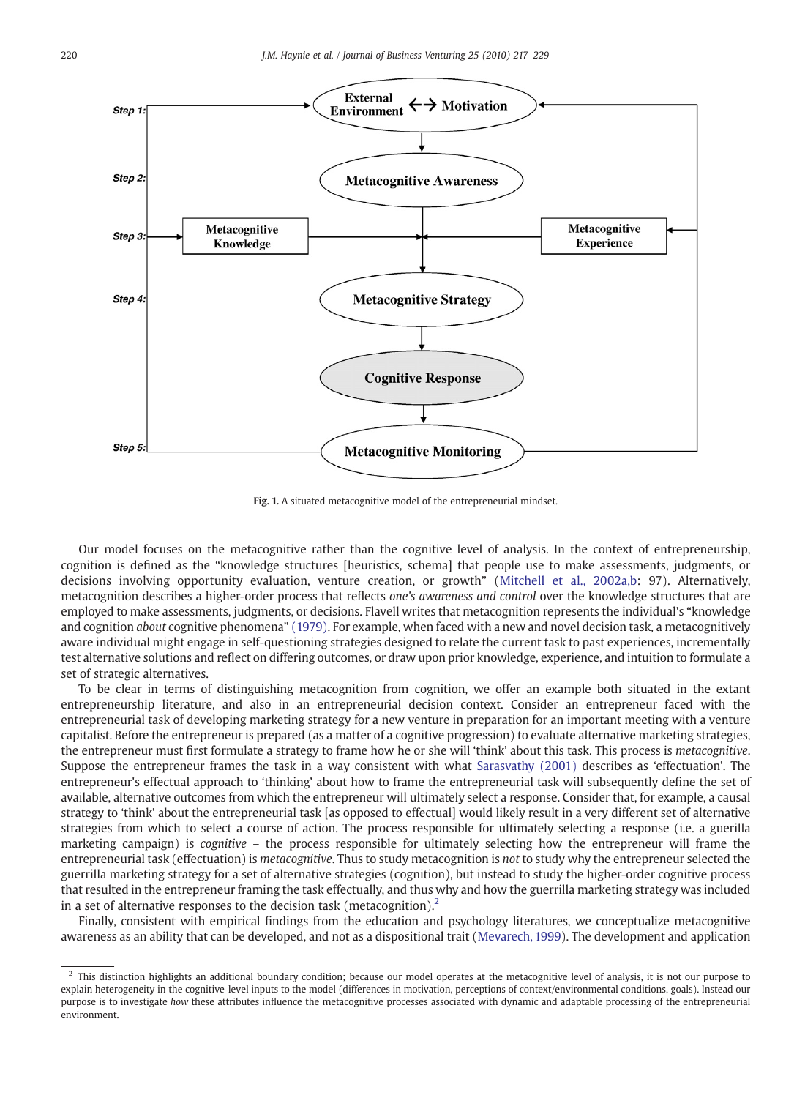<span id="page-3-0"></span>

Fig. 1. A situated metacognitive model of the entrepreneurial mindset.

Our model focuses on the metacognitive rather than the cognitive level of analysis. In the context of entrepreneurship, cognition is defined as the "knowledge structures [heuristics, schema] that people use to make assessments, judgments, or decisions involving opportunity evaluation, venture creation, or growth" ([Mitchell et al., 2002a,b:](#page-11-0) 97). Alternatively, metacognition describes a higher-order process that reflects one's awareness and control over the knowledge structures that are employed to make assessments, judgments, or decisions. Flavell writes that metacognition represents the individual's "knowledge and cognition about cognitive phenomena" [\(1979\).](#page-11-0) For example, when faced with a new and novel decision task, a metacognitively aware individual might engage in self-questioning strategies designed to relate the current task to past experiences, incrementally test alternative solutions and reflect on differing outcomes, or draw upon prior knowledge, experience, and intuition to formulate a set of strategic alternatives.

To be clear in terms of distinguishing metacognition from cognition, we offer an example both situated in the extant entrepreneurship literature, and also in an entrepreneurial decision context. Consider an entrepreneur faced with the entrepreneurial task of developing marketing strategy for a new venture in preparation for an important meeting with a venture capitalist. Before the entrepreneur is prepared (as a matter of a cognitive progression) to evaluate alternative marketing strategies, the entrepreneur must first formulate a strategy to frame how he or she will 'think' about this task. This process is metacognitive. Suppose the entrepreneur frames the task in a way consistent with what [Sarasvathy \(2001\)](#page-11-0) describes as 'effectuation'. The entrepreneur's effectual approach to 'thinking' about how to frame the entrepreneurial task will subsequently define the set of available, alternative outcomes from which the entrepreneur will ultimately select a response. Consider that, for example, a causal strategy to 'think' about the entrepreneurial task [as opposed to effectual] would likely result in a very different set of alternative strategies from which to select a course of action. The process responsible for ultimately selecting a response (i.e. a guerilla marketing campaign) is cognitive – the process responsible for ultimately selecting how the entrepreneur will frame the entrepreneurial task (effectuation) is metacognitive. Thus to study metacognition is not to study why the entrepreneur selected the guerrilla marketing strategy for a set of alternative strategies (cognition), but instead to study the higher-order cognitive process that resulted in the entrepreneur framing the task effectually, and thus why and how the guerrilla marketing strategy was included in a set of alternative responses to the decision task (metacognition).<sup>2</sup>

Finally, consistent with empirical findings from the education and psychology literatures, we conceptualize metacognitive awareness as an ability that can be developed, and not as a dispositional trait ([Mevarech, 1999](#page-11-0)). The development and application

 $<sup>2</sup>$  This distinction highlights an additional boundary condition; because our model operates at the metacognitive level of analysis, it is not our purpose to</sup> explain heterogeneity in the cognitive-level inputs to the model (differences in motivation, perceptions of context/environmental conditions, goals). Instead our purpose is to investigate how these attributes influence the metacognitive processes associated with dynamic and adaptable processing of the entrepreneurial environment.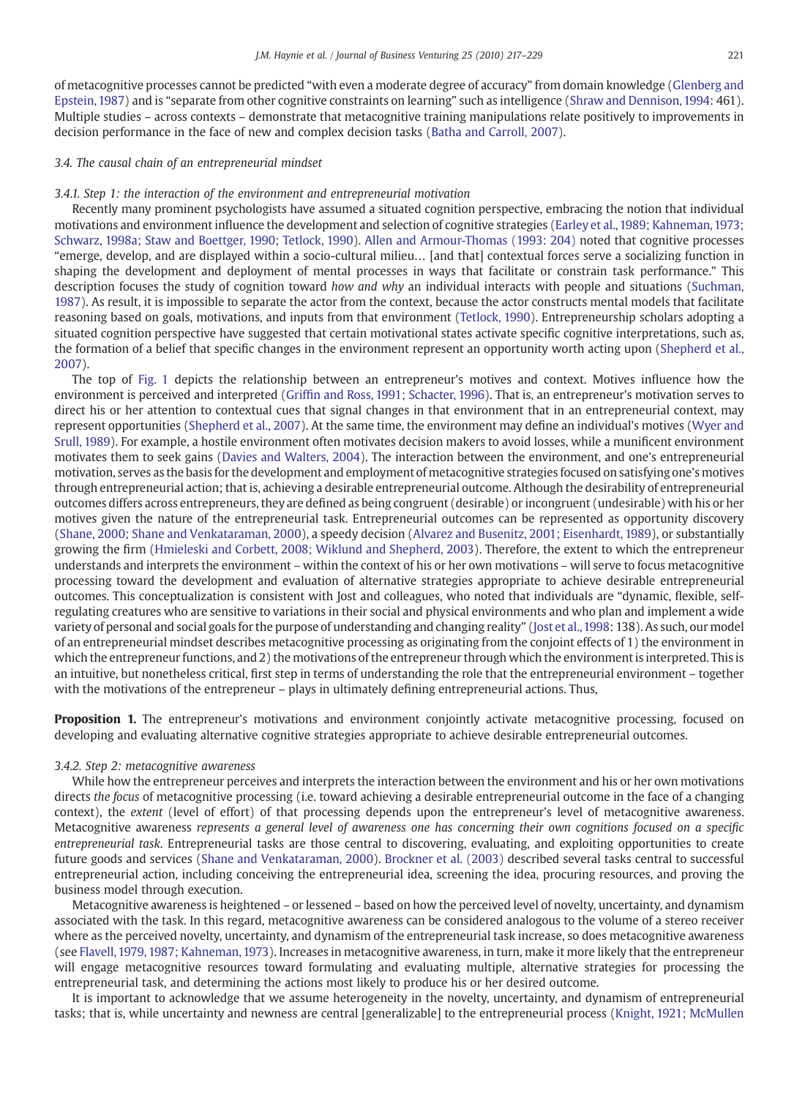of metacognitive processes cannot be predicted "with even a moderate degree of accuracy" from domain knowledge ([Glenberg and](#page-11-0) [Epstein, 1987](#page-11-0)) and is "separate from other cognitive constraints on learning" such as intelligence [\(Shraw and Dennison, 1994:](#page-11-0) 461). Multiple studies – across contexts – demonstrate that metacognitive training manipulations relate positively to improvements in decision performance in the face of new and complex decision tasks ([Batha and Carroll, 2007](#page-10-0)).

#### 3.4. The causal chain of an entrepreneurial mindset

#### 3.4.1. Step 1: the interaction of the environment and entrepreneurial motivation

Recently many prominent psychologists have assumed a situated cognition perspective, embracing the notion that individual motivations and environment influence the development and selection of cognitive strategies ([Earley et al., 1989; Kahneman, 1973;](#page-11-0) [Schwarz, 1998a; Staw and Boettger, 1990; Tetlock, 1990\)](#page-11-0). [Allen and Armour-Thomas \(1993: 204\)](#page-10-0) noted that cognitive processes "emerge, develop, and are displayed within a socio-cultural milieu… [and that] contextual forces serve a socializing function in shaping the development and deployment of mental processes in ways that facilitate or constrain task performance." This description focuses the study of cognition toward how and why an individual interacts with people and situations ([Suchman,](#page-12-0) [1987\)](#page-12-0). As result, it is impossible to separate the actor from the context, because the actor constructs mental models that facilitate reasoning based on goals, motivations, and inputs from that environment [\(Tetlock, 1990\)](#page-12-0). Entrepreneurship scholars adopting a situated cognition perspective have suggested that certain motivational states activate specific cognitive interpretations, such as, the formation of a belief that specific changes in the environment represent an opportunity worth acting upon ([Shepherd et al.,](#page-12-0) [2007](#page-12-0)).

The top of [Fig. 1](#page-3-0) depicts the relationship between an entrepreneur's motives and context. Motives influence how the environment is perceived and interpreted (Griffi[n and Ross, 1991; Schacter, 1996\)](#page-11-0). That is, an entrepreneur's motivation serves to direct his or her attention to contextual cues that signal changes in that environment that in an entrepreneurial context, may represent opportunities ([Shepherd et al., 2007](#page-12-0)). At the same time, the environment may define an individual's motives ([Wyer and](#page-12-0) [Srull, 1989](#page-12-0)). For example, a hostile environment often motivates decision makers to avoid losses, while a munificent environment motivates them to seek gains [\(Davies and Walters, 2004](#page-11-0)). The interaction between the environment, and one's entrepreneurial motivation, serves as the basis for the development and employment of metacognitive strategies focused on satisfying one's motives through entrepreneurial action; that is, achieving a desirable entrepreneurial outcome. Although the desirability of entrepreneurial outcomes differs across entrepreneurs, they are defined as being congruent (desirable) or incongruent (undesirable) with his or her motives given the nature of the entrepreneurial task. Entrepreneurial outcomes can be represented as opportunity discovery [\(Shane, 2000; Shane and Venkataraman, 2000\)](#page-11-0), a speedy decision [\(Alvarez and Busenitz, 2001; Eisenhardt, 1989](#page-10-0)), or substantially growing the firm ([Hmieleski and Corbett, 2008; Wiklund and Shepherd, 2003\)](#page-11-0). Therefore, the extent to which the entrepreneur understands and interprets the environment – within the context of his or her own motivations – will serve to focus metacognitive processing toward the development and evaluation of alternative strategies appropriate to achieve desirable entrepreneurial outcomes. This conceptualization is consistent with Jost and colleagues, who noted that individuals are "dynamic, flexible, selfregulating creatures who are sensitive to variations in their social and physical environments and who plan and implement a wide variety of personal and social goals for the purpose of understanding and changing reality" ([Jost et al.,1998](#page-11-0): 138). As such, our model of an entrepreneurial mindset describes metacognitive processing as originating from the conjoint effects of 1) the environment in which the entrepreneur functions, and 2) the motivations of the entrepreneur through which the environment is interpreted. This is an intuitive, but nonetheless critical, first step in terms of understanding the role that the entrepreneurial environment – together with the motivations of the entrepreneur – plays in ultimately defining entrepreneurial actions. Thus,

Proposition 1. The entrepreneur's motivations and environment conjointly activate metacognitive processing, focused on developing and evaluating alternative cognitive strategies appropriate to achieve desirable entrepreneurial outcomes.

#### 3.4.2. Step 2: metacognitive awareness

While how the entrepreneur perceives and interprets the interaction between the environment and his or her own motivations directs the focus of metacognitive processing (i.e. toward achieving a desirable entrepreneurial outcome in the face of a changing context), the extent (level of effort) of that processing depends upon the entrepreneur's level of metacognitive awareness. Metacognitive awareness represents a general level of awareness one has concerning their own cognitions focused on a specific entrepreneurial task. Entrepreneurial tasks are those central to discovering, evaluating, and exploiting opportunities to create future goods and services [\(Shane and Venkataraman, 2000](#page-11-0)). [Brockner et al. \(2003\)](#page-10-0) described several tasks central to successful entrepreneurial action, including conceiving the entrepreneurial idea, screening the idea, procuring resources, and proving the business model through execution.

Metacognitive awareness is heightened – or lessened – based on how the perceived level of novelty, uncertainty, and dynamism associated with the task. In this regard, metacognitive awareness can be considered analogous to the volume of a stereo receiver where as the perceived novelty, uncertainty, and dynamism of the entrepreneurial task increase, so does metacognitive awareness (see [Flavell, 1979, 1987; Kahneman, 1973\)](#page-11-0). Increases in metacognitive awareness, in turn, make it more likely that the entrepreneur will engage metacognitive resources toward formulating and evaluating multiple, alternative strategies for processing the entrepreneurial task, and determining the actions most likely to produce his or her desired outcome.

It is important to acknowledge that we assume heterogeneity in the novelty, uncertainty, and dynamism of entrepreneurial tasks; that is, while uncertainty and newness are central [generalizable] to the entrepreneurial process [\(Knight, 1921; McMullen](#page-11-0)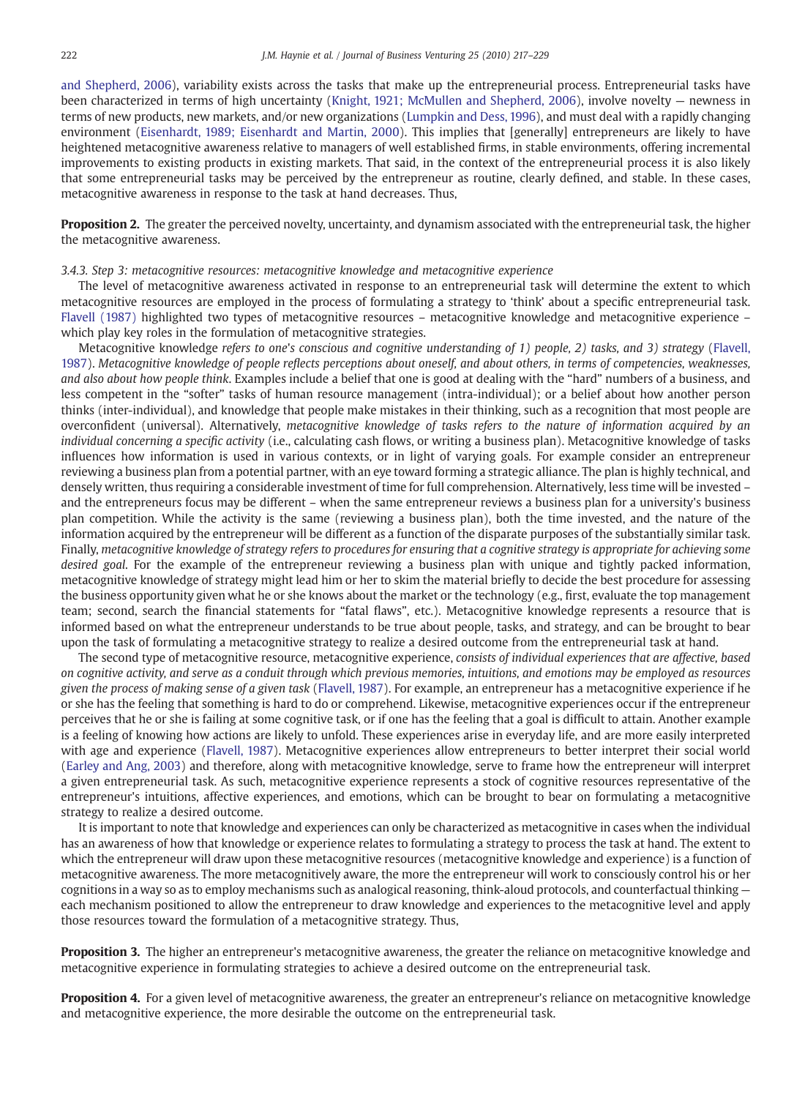[and Shepherd, 2006\)](#page-11-0), variability exists across the tasks that make up the entrepreneurial process. Entrepreneurial tasks have been characterized in terms of high uncertainty [\(Knight, 1921; McMullen and Shepherd, 2006](#page-11-0)), involve novelty — newness in terms of new products, new markets, and/or new organizations [\(Lumpkin and Dess, 1996](#page-11-0)), and must deal with a rapidly changing environment [\(Eisenhardt, 1989; Eisenhardt and Martin, 2000\)](#page-11-0). This implies that [generally] entrepreneurs are likely to have heightened metacognitive awareness relative to managers of well established firms, in stable environments, offering incremental improvements to existing products in existing markets. That said, in the context of the entrepreneurial process it is also likely that some entrepreneurial tasks may be perceived by the entrepreneur as routine, clearly defined, and stable. In these cases, metacognitive awareness in response to the task at hand decreases. Thus,

Proposition 2. The greater the perceived novelty, uncertainty, and dynamism associated with the entrepreneurial task, the higher the metacognitive awareness.

#### 3.4.3. Step 3: metacognitive resources: metacognitive knowledge and metacognitive experience

The level of metacognitive awareness activated in response to an entrepreneurial task will determine the extent to which metacognitive resources are employed in the process of formulating a strategy to 'think' about a specific entrepreneurial task. [Flavell \(1987\)](#page-11-0) highlighted two types of metacognitive resources – metacognitive knowledge and metacognitive experience – which play key roles in the formulation of metacognitive strategies.

Metacognitive knowledge refers to one's conscious and cognitive understanding of 1) people, 2) tasks, and 3) strategy [\(Flavell,](#page-11-0) [1987\)](#page-11-0). Metacognitive knowledge of people reflects perceptions about oneself, and about others, in terms of competencies, weaknesses, and also about how people think. Examples include a belief that one is good at dealing with the "hard" numbers of a business, and less competent in the "softer" tasks of human resource management (intra-individual); or a belief about how another person thinks (inter-individual), and knowledge that people make mistakes in their thinking, such as a recognition that most people are overconfident (universal). Alternatively, metacognitive knowledge of tasks refers to the nature of information acquired by an individual concerning a specific activity (i.e., calculating cash flows, or writing a business plan). Metacognitive knowledge of tasks influences how information is used in various contexts, or in light of varying goals. For example consider an entrepreneur reviewing a business plan from a potential partner, with an eye toward forming a strategic alliance. The plan is highly technical, and densely written, thus requiring a considerable investment of time for full comprehension. Alternatively, less time will be invested – and the entrepreneurs focus may be different – when the same entrepreneur reviews a business plan for a university's business plan competition. While the activity is the same (reviewing a business plan), both the time invested, and the nature of the information acquired by the entrepreneur will be different as a function of the disparate purposes of the substantially similar task. Finally, metacognitive knowledge of strategy refers to procedures for ensuring that a cognitive strategy is appropriate for achieving some desired goal. For the example of the entrepreneur reviewing a business plan with unique and tightly packed information, metacognitive knowledge of strategy might lead him or her to skim the material briefly to decide the best procedure for assessing the business opportunity given what he or she knows about the market or the technology (e.g., first, evaluate the top management team; second, search the financial statements for "fatal flaws", etc.). Metacognitive knowledge represents a resource that is informed based on what the entrepreneur understands to be true about people, tasks, and strategy, and can be brought to bear upon the task of formulating a metacognitive strategy to realize a desired outcome from the entrepreneurial task at hand.

The second type of metacognitive resource, metacognitive experience, consists of individual experiences that are affective, based on cognitive activity, and serve as a conduit through which previous memories, intuitions, and emotions may be employed as resources given the process of making sense of a given task [\(Flavell, 1987](#page-11-0)). For example, an entrepreneur has a metacognitive experience if he or she has the feeling that something is hard to do or comprehend. Likewise, metacognitive experiences occur if the entrepreneur perceives that he or she is failing at some cognitive task, or if one has the feeling that a goal is difficult to attain. Another example is a feeling of knowing how actions are likely to unfold. These experiences arise in everyday life, and are more easily interpreted with age and experience ([Flavell, 1987\)](#page-11-0). Metacognitive experiences allow entrepreneurs to better interpret their social world ([Earley and Ang, 2003](#page-11-0)) and therefore, along with metacognitive knowledge, serve to frame how the entrepreneur will interpret a given entrepreneurial task. As such, metacognitive experience represents a stock of cognitive resources representative of the entrepreneur's intuitions, affective experiences, and emotions, which can be brought to bear on formulating a metacognitive strategy to realize a desired outcome.

It is important to note that knowledge and experiences can only be characterized as metacognitive in cases when the individual has an awareness of how that knowledge or experience relates to formulating a strategy to process the task at hand. The extent to which the entrepreneur will draw upon these metacognitive resources (metacognitive knowledge and experience) is a function of metacognitive awareness. The more metacognitively aware, the more the entrepreneur will work to consciously control his or her cognitions in a way so as to employ mechanisms such as analogical reasoning, think-aloud protocols, and counterfactual thinking each mechanism positioned to allow the entrepreneur to draw knowledge and experiences to the metacognitive level and apply those resources toward the formulation of a metacognitive strategy. Thus,

Proposition 3. The higher an entrepreneur's metacognitive awareness, the greater the reliance on metacognitive knowledge and metacognitive experience in formulating strategies to achieve a desired outcome on the entrepreneurial task.

Proposition 4. For a given level of metacognitive awareness, the greater an entrepreneur's reliance on metacognitive knowledge and metacognitive experience, the more desirable the outcome on the entrepreneurial task.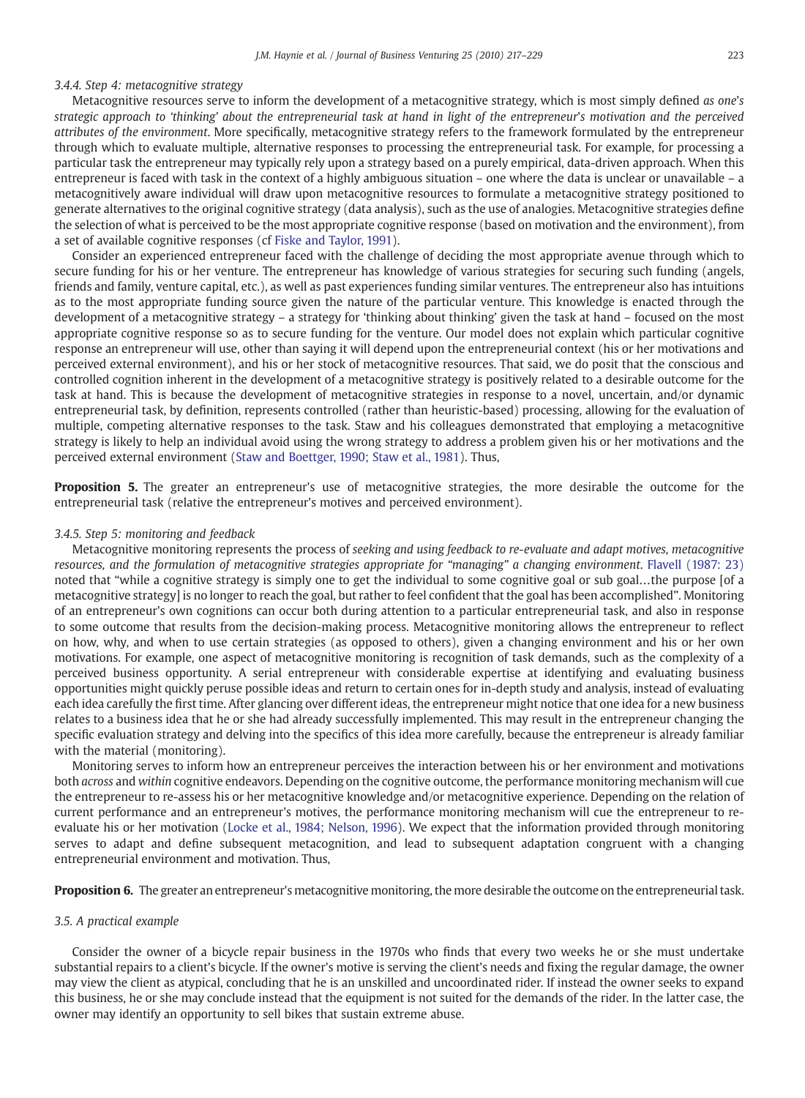#### 3.4.4. Step 4: metacognitive strategy

Metacognitive resources serve to inform the development of a metacognitive strategy, which is most simply defined as one's strategic approach to 'thinking' about the entrepreneurial task at hand in light of the entrepreneur's motivation and the perceived attributes of the environment. More specifically, metacognitive strategy refers to the framework formulated by the entrepreneur through which to evaluate multiple, alternative responses to processing the entrepreneurial task. For example, for processing a particular task the entrepreneur may typically rely upon a strategy based on a purely empirical, data-driven approach. When this entrepreneur is faced with task in the context of a highly ambiguous situation – one where the data is unclear or unavailable – a metacognitively aware individual will draw upon metacognitive resources to formulate a metacognitive strategy positioned to generate alternatives to the original cognitive strategy (data analysis), such as the use of analogies. Metacognitive strategies define the selection of what is perceived to be the most appropriate cognitive response (based on motivation and the environment), from a set of available cognitive responses (cf [Fiske and Taylor, 1991](#page-11-0)).

Consider an experienced entrepreneur faced with the challenge of deciding the most appropriate avenue through which to secure funding for his or her venture. The entrepreneur has knowledge of various strategies for securing such funding (angels, friends and family, venture capital, etc.), as well as past experiences funding similar ventures. The entrepreneur also has intuitions as to the most appropriate funding source given the nature of the particular venture. This knowledge is enacted through the development of a metacognitive strategy – a strategy for 'thinking about thinking' given the task at hand – focused on the most appropriate cognitive response so as to secure funding for the venture. Our model does not explain which particular cognitive response an entrepreneur will use, other than saying it will depend upon the entrepreneurial context (his or her motivations and perceived external environment), and his or her stock of metacognitive resources. That said, we do posit that the conscious and controlled cognition inherent in the development of a metacognitive strategy is positively related to a desirable outcome for the task at hand. This is because the development of metacognitive strategies in response to a novel, uncertain, and/or dynamic entrepreneurial task, by definition, represents controlled (rather than heuristic-based) processing, allowing for the evaluation of multiple, competing alternative responses to the task. Staw and his colleagues demonstrated that employing a metacognitive strategy is likely to help an individual avoid using the wrong strategy to address a problem given his or her motivations and the perceived external environment ([Staw and Boettger, 1990; Staw et al., 1981\)](#page-12-0). Thus,

Proposition 5. The greater an entrepreneur's use of metacognitive strategies, the more desirable the outcome for the entrepreneurial task (relative the entrepreneur's motives and perceived environment).

#### 3.4.5. Step 5: monitoring and feedback

Metacognitive monitoring represents the process of seeking and using feedback to re-evaluate and adapt motives, metacognitive resources, and the formulation of metacognitive strategies appropriate for "managing" a changing environment. [Flavell \(1987: 23\)](#page-11-0) noted that "while a cognitive strategy is simply one to get the individual to some cognitive goal or sub goal…the purpose [of a metacognitive strategy] is no longer to reach the goal, but rather to feel confident that the goal has been accomplished". Monitoring of an entrepreneur's own cognitions can occur both during attention to a particular entrepreneurial task, and also in response to some outcome that results from the decision-making process. Metacognitive monitoring allows the entrepreneur to reflect on how, why, and when to use certain strategies (as opposed to others), given a changing environment and his or her own motivations. For example, one aspect of metacognitive monitoring is recognition of task demands, such as the complexity of a perceived business opportunity. A serial entrepreneur with considerable expertise at identifying and evaluating business opportunities might quickly peruse possible ideas and return to certain ones for in-depth study and analysis, instead of evaluating each idea carefully the first time. After glancing over different ideas, the entrepreneur might notice that one idea for a new business relates to a business idea that he or she had already successfully implemented. This may result in the entrepreneur changing the specific evaluation strategy and delving into the specifics of this idea more carefully, because the entrepreneur is already familiar with the material (monitoring).

Monitoring serves to inform how an entrepreneur perceives the interaction between his or her environment and motivations both across and within cognitive endeavors. Depending on the cognitive outcome, the performance monitoring mechanism will cue the entrepreneur to re-assess his or her metacognitive knowledge and/or metacognitive experience. Depending on the relation of current performance and an entrepreneur's motives, the performance monitoring mechanism will cue the entrepreneur to reevaluate his or her motivation ([Locke et al., 1984; Nelson, 1996\)](#page-11-0). We expect that the information provided through monitoring serves to adapt and define subsequent metacognition, and lead to subsequent adaptation congruent with a changing entrepreneurial environment and motivation. Thus,

Proposition 6. The greater an entrepreneur's metacognitive monitoring, the more desirable the outcome on the entrepreneurial task.

#### 3.5. A practical example

Consider the owner of a bicycle repair business in the 1970s who finds that every two weeks he or she must undertake substantial repairs to a client's bicycle. If the owner's motive is serving the client's needs and fixing the regular damage, the owner may view the client as atypical, concluding that he is an unskilled and uncoordinated rider. If instead the owner seeks to expand this business, he or she may conclude instead that the equipment is not suited for the demands of the rider. In the latter case, the owner may identify an opportunity to sell bikes that sustain extreme abuse.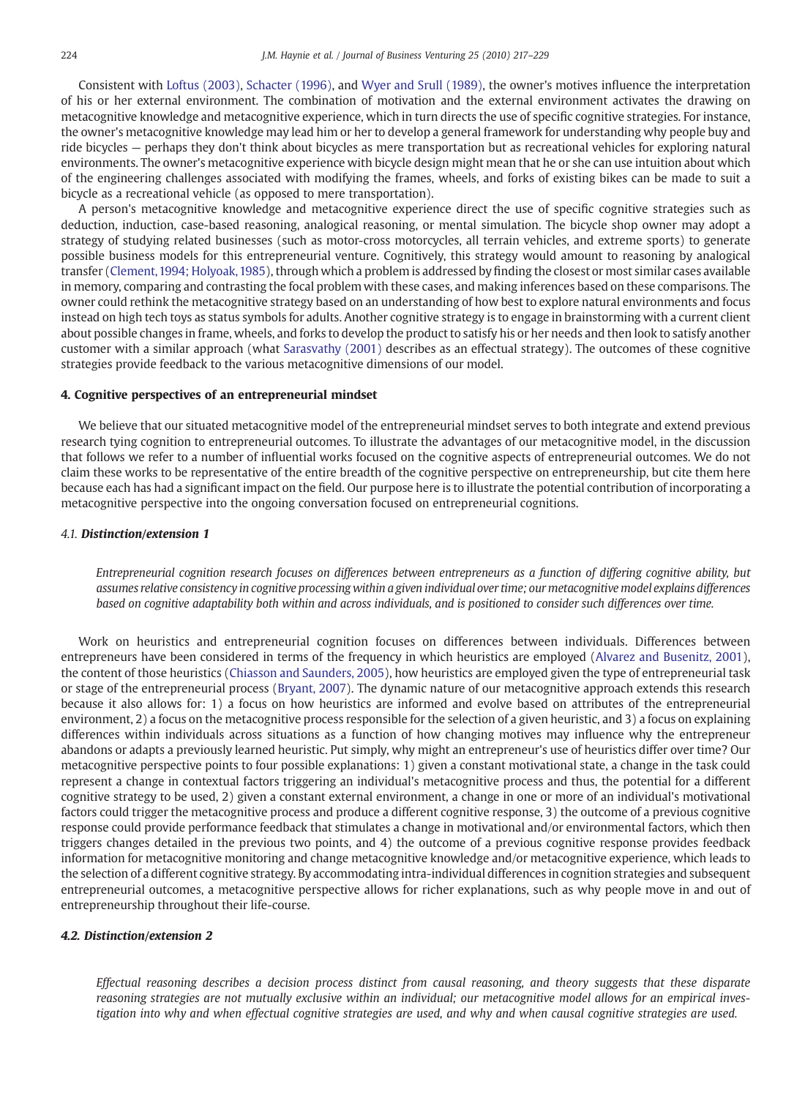Consistent with [Loftus \(2003\),](#page-11-0) [Schacter \(1996\)](#page-11-0), and [Wyer and Srull \(1989\)](#page-12-0), the owner's motives influence the interpretation of his or her external environment. The combination of motivation and the external environment activates the drawing on metacognitive knowledge and metacognitive experience, which in turn directs the use of specific cognitive strategies. For instance, the owner's metacognitive knowledge may lead him or her to develop a general framework for understanding why people buy and ride bicycles — perhaps they don't think about bicycles as mere transportation but as recreational vehicles for exploring natural environments. The owner's metacognitive experience with bicycle design might mean that he or she can use intuition about which of the engineering challenges associated with modifying the frames, wheels, and forks of existing bikes can be made to suit a bicycle as a recreational vehicle (as opposed to mere transportation).

A person's metacognitive knowledge and metacognitive experience direct the use of specific cognitive strategies such as deduction, induction, case-based reasoning, analogical reasoning, or mental simulation. The bicycle shop owner may adopt a strategy of studying related businesses (such as motor-cross motorcycles, all terrain vehicles, and extreme sports) to generate possible business models for this entrepreneurial venture. Cognitively, this strategy would amount to reasoning by analogical transfer ([Clement,1994; Holyoak, 1985\)](#page-11-0), through which a problem is addressed by finding the closest or most similar cases available in memory, comparing and contrasting the focal problem with these cases, and making inferences based on these comparisons. The owner could rethink the metacognitive strategy based on an understanding of how best to explore natural environments and focus instead on high tech toys as status symbols for adults. Another cognitive strategy is to engage in brainstorming with a current client about possible changes in frame, wheels, and forks to develop the product to satisfy his or her needs and then look to satisfy another customer with a similar approach (what [Sarasvathy \(2001\)](#page-11-0) describes as an effectual strategy). The outcomes of these cognitive strategies provide feedback to the various metacognitive dimensions of our model.

#### 4. Cognitive perspectives of an entrepreneurial mindset

We believe that our situated metacognitive model of the entrepreneurial mindset serves to both integrate and extend previous research tying cognition to entrepreneurial outcomes. To illustrate the advantages of our metacognitive model, in the discussion that follows we refer to a number of influential works focused on the cognitive aspects of entrepreneurial outcomes. We do not claim these works to be representative of the entire breadth of the cognitive perspective on entrepreneurship, but cite them here because each has had a significant impact on the field. Our purpose here is to illustrate the potential contribution of incorporating a metacognitive perspective into the ongoing conversation focused on entrepreneurial cognitions.

#### 4.1. Distinction/extension 1

Entrepreneurial cognition research focuses on differences between entrepreneurs as a function of differing cognitive ability, but assumes relative consistency in cognitive processing within a given individual over time; our metacognitive model explains differences based on cognitive adaptability both within and across individuals, and is positioned to consider such differences over time.

Work on heuristics and entrepreneurial cognition focuses on differences between individuals. Differences between entrepreneurs have been considered in terms of the frequency in which heuristics are employed ([Alvarez and Busenitz, 2001](#page-10-0)), the content of those heuristics [\(Chiasson and Saunders, 2005\)](#page-11-0), how heuristics are employed given the type of entrepreneurial task or stage of the entrepreneurial process ([Bryant, 2007](#page-11-0)). The dynamic nature of our metacognitive approach extends this research because it also allows for: 1) a focus on how heuristics are informed and evolve based on attributes of the entrepreneurial environment, 2) a focus on the metacognitive process responsible for the selection of a given heuristic, and 3) a focus on explaining differences within individuals across situations as a function of how changing motives may influence why the entrepreneur abandons or adapts a previously learned heuristic. Put simply, why might an entrepreneur's use of heuristics differ over time? Our metacognitive perspective points to four possible explanations: 1) given a constant motivational state, a change in the task could represent a change in contextual factors triggering an individual's metacognitive process and thus, the potential for a different cognitive strategy to be used, 2) given a constant external environment, a change in one or more of an individual's motivational factors could trigger the metacognitive process and produce a different cognitive response, 3) the outcome of a previous cognitive response could provide performance feedback that stimulates a change in motivational and/or environmental factors, which then triggers changes detailed in the previous two points, and 4) the outcome of a previous cognitive response provides feedback information for metacognitive monitoring and change metacognitive knowledge and/or metacognitive experience, which leads to the selection of a different cognitive strategy. By accommodating intra-individual differences in cognition strategies and subsequent entrepreneurial outcomes, a metacognitive perspective allows for richer explanations, such as why people move in and out of entrepreneurship throughout their life-course.

#### 4.2. Distinction/extension 2

Effectual reasoning describes a decision process distinct from causal reasoning, and theory suggests that these disparate reasoning strategies are not mutually exclusive within an individual; our metacognitive model allows for an empirical investigation into why and when effectual cognitive strategies are used, and why and when causal cognitive strategies are used.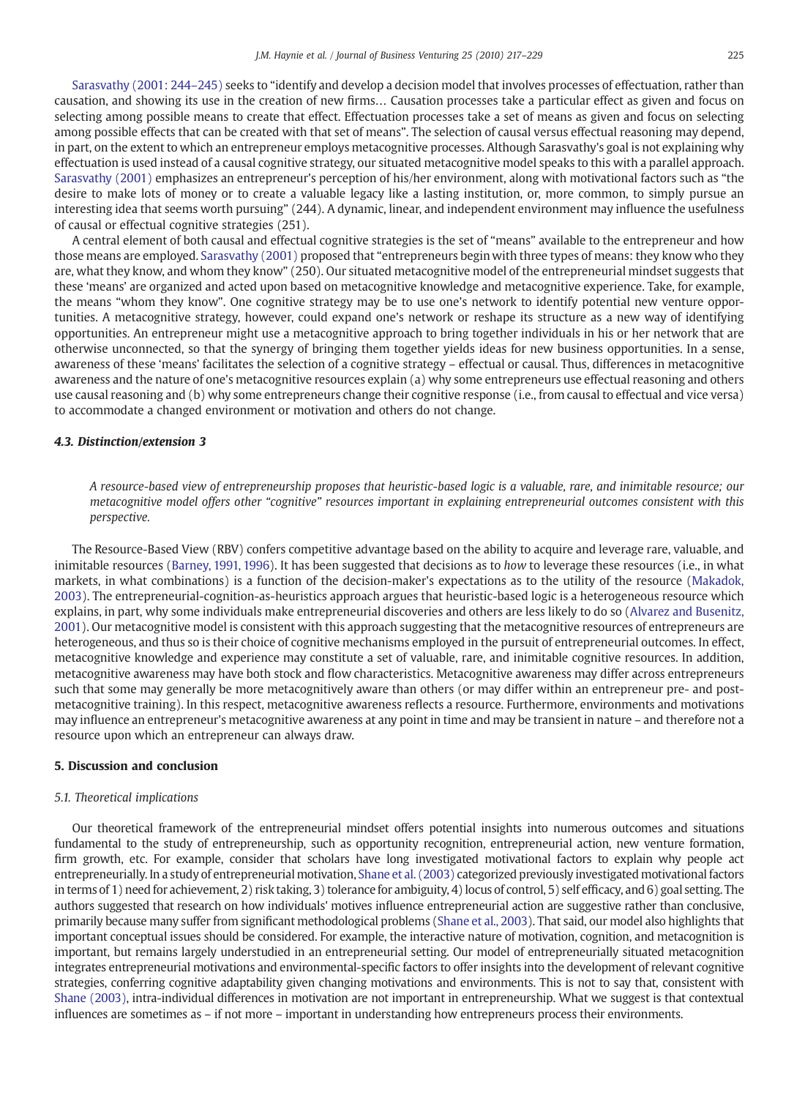[Sarasvathy \(2001: 244](#page-11-0)–245) seeks to "identify and develop a decision model that involves processes of effectuation, rather than causation, and showing its use in the creation of new firms… Causation processes take a particular effect as given and focus on selecting among possible means to create that effect. Effectuation processes take a set of means as given and focus on selecting among possible effects that can be created with that set of means". The selection of causal versus effectual reasoning may depend, in part, on the extent to which an entrepreneur employs metacognitive processes. Although Sarasvathy's goal is not explaining why effectuation is used instead of a causal cognitive strategy, our situated metacognitive model speaks to this with a parallel approach. [Sarasvathy \(2001\)](#page-11-0) emphasizes an entrepreneur's perception of his/her environment, along with motivational factors such as "the desire to make lots of money or to create a valuable legacy like a lasting institution, or, more common, to simply pursue an interesting idea that seems worth pursuing" (244). A dynamic, linear, and independent environment may influence the usefulness of causal or effectual cognitive strategies (251).

A central element of both causal and effectual cognitive strategies is the set of "means" available to the entrepreneur and how those means are employed. [Sarasvathy \(2001\)](#page-11-0) proposed that "entrepreneurs begin with three types of means: they know who they are, what they know, and whom they know" (250). Our situated metacognitive model of the entrepreneurial mindset suggests that these 'means' are organized and acted upon based on metacognitive knowledge and metacognitive experience. Take, for example, the means "whom they know". One cognitive strategy may be to use one's network to identify potential new venture opportunities. A metacognitive strategy, however, could expand one's network or reshape its structure as a new way of identifying opportunities. An entrepreneur might use a metacognitive approach to bring together individuals in his or her network that are otherwise unconnected, so that the synergy of bringing them together yields ideas for new business opportunities. In a sense, awareness of these 'means' facilitates the selection of a cognitive strategy – effectual or causal. Thus, differences in metacognitive awareness and the nature of one's metacognitive resources explain (a) why some entrepreneurs use effectual reasoning and others use causal reasoning and (b) why some entrepreneurs change their cognitive response (i.e., from causal to effectual and vice versa) to accommodate a changed environment or motivation and others do not change.

#### 4.3. Distinction/extension 3

A resource-based view of entrepreneurship proposes that heuristic-based logic is a valuable, rare, and inimitable resource; our metacognitive model offers other "cognitive" resources important in explaining entrepreneurial outcomes consistent with this perspective.

The Resource-Based View (RBV) confers competitive advantage based on the ability to acquire and leverage rare, valuable, and inimitable resources [\(Barney, 1991, 1996](#page-10-0)). It has been suggested that decisions as to how to leverage these resources (i.e., in what markets, in what combinations) is a function of the decision-maker's expectations as to the utility of the resource ([Makadok,](#page-11-0) [2003](#page-11-0)). The entrepreneurial-cognition-as-heuristics approach argues that heuristic-based logic is a heterogeneous resource which explains, in part, why some individuals make entrepreneurial discoveries and others are less likely to do so [\(Alvarez and Busenitz,](#page-10-0) [2001](#page-10-0)). Our metacognitive model is consistent with this approach suggesting that the metacognitive resources of entrepreneurs are heterogeneous, and thus so is their choice of cognitive mechanisms employed in the pursuit of entrepreneurial outcomes. In effect, metacognitive knowledge and experience may constitute a set of valuable, rare, and inimitable cognitive resources. In addition, metacognitive awareness may have both stock and flow characteristics. Metacognitive awareness may differ across entrepreneurs such that some may generally be more metacognitively aware than others (or may differ within an entrepreneur pre- and postmetacognitive training). In this respect, metacognitive awareness reflects a resource. Furthermore, environments and motivations may influence an entrepreneur's metacognitive awareness at any point in time and may be transient in nature – and therefore not a resource upon which an entrepreneur can always draw.

#### 5. Discussion and conclusion

#### 5.1. Theoretical implications

Our theoretical framework of the entrepreneurial mindset offers potential insights into numerous outcomes and situations fundamental to the study of entrepreneurship, such as opportunity recognition, entrepreneurial action, new venture formation, firm growth, etc. For example, consider that scholars have long investigated motivational factors to explain why people act entrepreneurially. In a study of entrepreneurial motivation, [Shane et al. \(2003\)](#page-11-0) categorized previously investigated motivational factors in terms of 1) need for achievement, 2) risk taking, 3) tolerance for ambiguity, 4) locus of control, 5) self efficacy, and 6) goal setting. The authors suggested that research on how individuals' motives influence entrepreneurial action are suggestive rather than conclusive, primarily because many suffer from significant methodological problems ([Shane et al., 2003\)](#page-11-0). That said, our model also highlights that important conceptual issues should be considered. For example, the interactive nature of motivation, cognition, and metacognition is important, but remains largely understudied in an entrepreneurial setting. Our model of entrepreneurially situated metacognition integrates entrepreneurial motivations and environmental-specific factors to offer insights into the development of relevant cognitive strategies, conferring cognitive adaptability given changing motivations and environments. This is not to say that, consistent with [Shane \(2003\)](#page-11-0), intra-individual differences in motivation are not important in entrepreneurship. What we suggest is that contextual influences are sometimes as – if not more – important in understanding how entrepreneurs process their environments.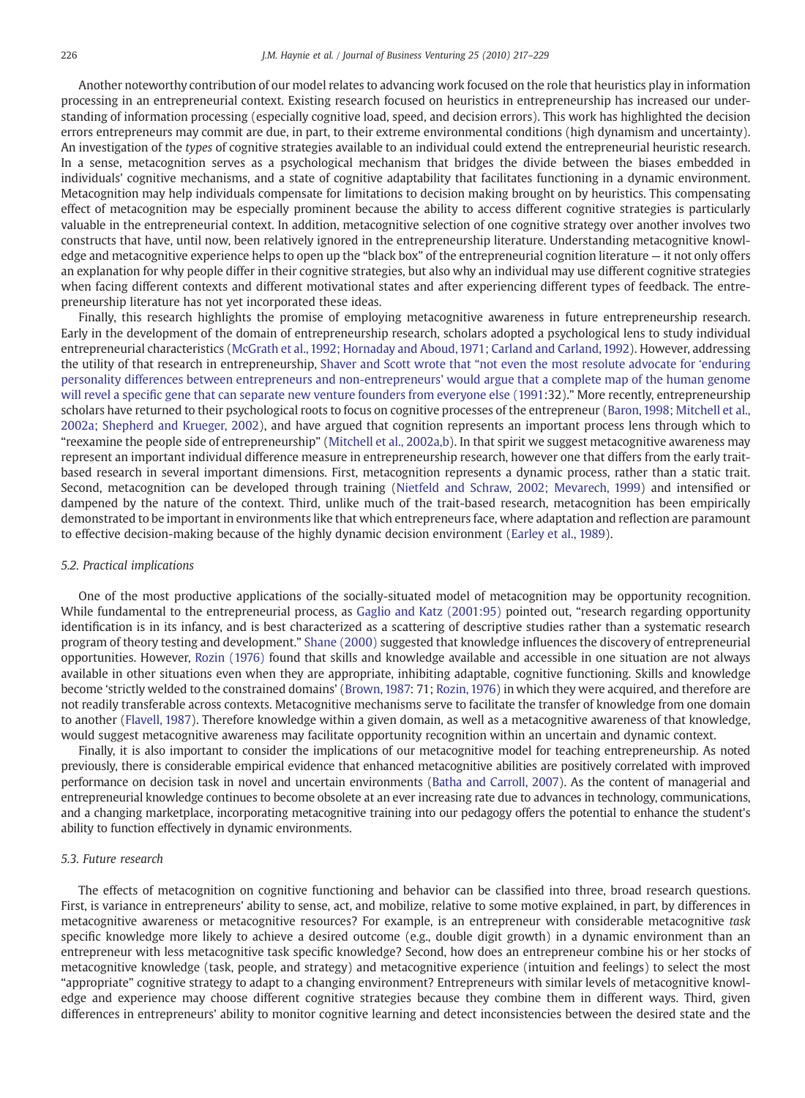Another noteworthy contribution of our model relates to advancing work focused on the role that heuristics play in information processing in an entrepreneurial context. Existing research focused on heuristics in entrepreneurship has increased our understanding of information processing (especially cognitive load, speed, and decision errors). This work has highlighted the decision errors entrepreneurs may commit are due, in part, to their extreme environmental conditions (high dynamism and uncertainty). An investigation of the types of cognitive strategies available to an individual could extend the entrepreneurial heuristic research. In a sense, metacognition serves as a psychological mechanism that bridges the divide between the biases embedded in individuals' cognitive mechanisms, and a state of cognitive adaptability that facilitates functioning in a dynamic environment. Metacognition may help individuals compensate for limitations to decision making brought on by heuristics. This compensating effect of metacognition may be especially prominent because the ability to access different cognitive strategies is particularly valuable in the entrepreneurial context. In addition, metacognitive selection of one cognitive strategy over another involves two constructs that have, until now, been relatively ignored in the entrepreneurship literature. Understanding metacognitive knowledge and metacognitive experience helps to open up the "black box" of the entrepreneurial cognition literature — it not only offers an explanation for why people differ in their cognitive strategies, but also why an individual may use different cognitive strategies when facing different contexts and different motivational states and after experiencing different types of feedback. The entrepreneurship literature has not yet incorporated these ideas.

Finally, this research highlights the promise of employing metacognitive awareness in future entrepreneurship research. Early in the development of the domain of entrepreneurship research, scholars adopted a psychological lens to study individual entrepreneurial characteristics ([McGrath et al., 1992; Hornaday and Aboud, 1971; Carland and Carland, 1992\)](#page-11-0). However, addressing the utility of that research in entrepreneurship, Shaver and Scott wrote that "[not even the most resolute advocate for](#page-11-0) 'enduring [personality differences between entrepreneurs and non-entrepreneurs' would argue that a complete map of the human genome](#page-11-0) will revel a specifi[c gene that can separate new venture founders from everyone else \(1991:](#page-11-0)32)." More recently, entrepreneurship scholars have returned to their psychological roots to focus on cognitive processes of the entrepreneur ([Baron, 1998; Mitchell et al.,](#page-10-0) [2002a; Shepherd and Krueger, 2002](#page-10-0)), and have argued that cognition represents an important process lens through which to "reexamine the people side of entrepreneurship" [\(Mitchell et al., 2002a,b\)](#page-11-0). In that spirit we suggest metacognitive awareness may represent an important individual difference measure in entrepreneurship research, however one that differs from the early traitbased research in several important dimensions. First, metacognition represents a dynamic process, rather than a static trait. Second, metacognition can be developed through training [\(Nietfeld and Schraw, 2002; Mevarech, 1999](#page-11-0)) and intensified or dampened by the nature of the context. Third, unlike much of the trait-based research, metacognition has been empirically demonstrated to be important in environments like that which entrepreneurs face, where adaptation and reflection are paramount to effective decision-making because of the highly dynamic decision environment ([Earley et al., 1989](#page-11-0)).

#### 5.2. Practical implications

One of the most productive applications of the socially-situated model of metacognition may be opportunity recognition. While fundamental to the entrepreneurial process, as [Gaglio and Katz \(2001:95\)](#page-11-0) pointed out, "research regarding opportunity identification is in its infancy, and is best characterized as a scattering of descriptive studies rather than a systematic research program of theory testing and development." [Shane \(2000\)](#page-11-0) suggested that knowledge influences the discovery of entrepreneurial opportunities. However, [Rozin \(1976\)](#page-11-0) found that skills and knowledge available and accessible in one situation are not always available in other situations even when they are appropriate, inhibiting adaptable, cognitive functioning. Skills and knowledge become 'strictly welded to the constrained domains' [\(Brown, 1987:](#page-10-0) 71; [Rozin, 1976](#page-11-0)) in which they were acquired, and therefore are not readily transferable across contexts. Metacognitive mechanisms serve to facilitate the transfer of knowledge from one domain to another ([Flavell, 1987](#page-11-0)). Therefore knowledge within a given domain, as well as a metacognitive awareness of that knowledge, would suggest metacognitive awareness may facilitate opportunity recognition within an uncertain and dynamic context.

Finally, it is also important to consider the implications of our metacognitive model for teaching entrepreneurship. As noted previously, there is considerable empirical evidence that enhanced metacognitive abilities are positively correlated with improved performance on decision task in novel and uncertain environments [\(Batha and Carroll, 2007\)](#page-10-0). As the content of managerial and entrepreneurial knowledge continues to become obsolete at an ever increasing rate due to advances in technology, communications, and a changing marketplace, incorporating metacognitive training into our pedagogy offers the potential to enhance the student's ability to function effectively in dynamic environments.

#### 5.3. Future research

The effects of metacognition on cognitive functioning and behavior can be classified into three, broad research questions. First, is variance in entrepreneurs' ability to sense, act, and mobilize, relative to some motive explained, in part, by differences in metacognitive awareness or metacognitive resources? For example, is an entrepreneur with considerable metacognitive task specific knowledge more likely to achieve a desired outcome (e.g., double digit growth) in a dynamic environment than an entrepreneur with less metacognitive task specific knowledge? Second, how does an entrepreneur combine his or her stocks of metacognitive knowledge (task, people, and strategy) and metacognitive experience (intuition and feelings) to select the most "appropriate" cognitive strategy to adapt to a changing environment? Entrepreneurs with similar levels of metacognitive knowledge and experience may choose different cognitive strategies because they combine them in different ways. Third, given differences in entrepreneurs' ability to monitor cognitive learning and detect inconsistencies between the desired state and the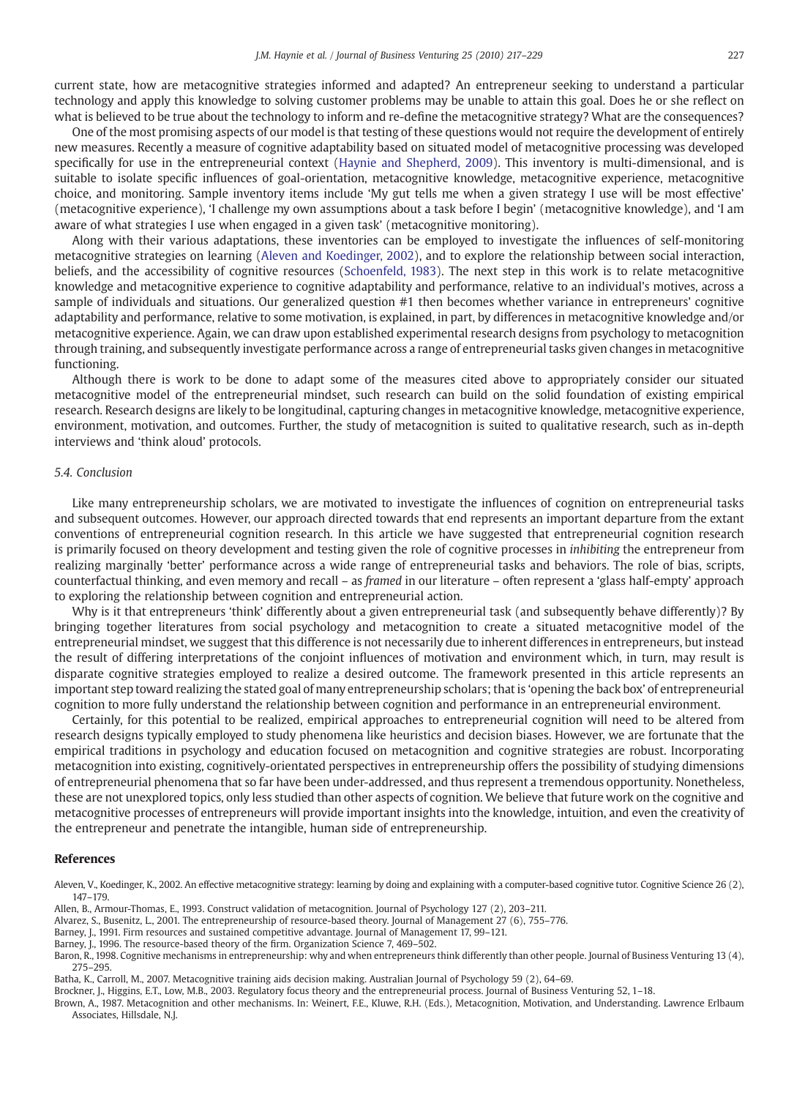<span id="page-10-0"></span>current state, how are metacognitive strategies informed and adapted? An entrepreneur seeking to understand a particular technology and apply this knowledge to solving customer problems may be unable to attain this goal. Does he or she reflect on what is believed to be true about the technology to inform and re-define the metacognitive strategy? What are the consequences?

One of the most promising aspects of our model is that testing of these questions would not require the development of entirely new measures. Recently a measure of cognitive adaptability based on situated model of metacognitive processing was developed specifically for use in the entrepreneurial context [\(Haynie and Shepherd, 2009](#page-11-0)). This inventory is multi-dimensional, and is suitable to isolate specific influences of goal-orientation, metacognitive knowledge, metacognitive experience, metacognitive choice, and monitoring. Sample inventory items include 'My gut tells me when a given strategy I use will be most effective' (metacognitive experience), 'I challenge my own assumptions about a task before I begin' (metacognitive knowledge), and 'I am aware of what strategies I use when engaged in a given task' (metacognitive monitoring).

Along with their various adaptations, these inventories can be employed to investigate the influences of self-monitoring metacognitive strategies on learning (Aleven and Koedinger, 2002), and to explore the relationship between social interaction, beliefs, and the accessibility of cognitive resources ([Schoenfeld, 1983](#page-11-0)). The next step in this work is to relate metacognitive knowledge and metacognitive experience to cognitive adaptability and performance, relative to an individual's motives, across a sample of individuals and situations. Our generalized question #1 then becomes whether variance in entrepreneurs' cognitive adaptability and performance, relative to some motivation, is explained, in part, by differences in metacognitive knowledge and/or metacognitive experience. Again, we can draw upon established experimental research designs from psychology to metacognition through training, and subsequently investigate performance across a range of entrepreneurial tasks given changes in metacognitive functioning.

Although there is work to be done to adapt some of the measures cited above to appropriately consider our situated metacognitive model of the entrepreneurial mindset, such research can build on the solid foundation of existing empirical research. Research designs are likely to be longitudinal, capturing changes in metacognitive knowledge, metacognitive experience, environment, motivation, and outcomes. Further, the study of metacognition is suited to qualitative research, such as in-depth interviews and 'think aloud' protocols.

#### 5.4. Conclusion

Like many entrepreneurship scholars, we are motivated to investigate the influences of cognition on entrepreneurial tasks and subsequent outcomes. However, our approach directed towards that end represents an important departure from the extant conventions of entrepreneurial cognition research. In this article we have suggested that entrepreneurial cognition research is primarily focused on theory development and testing given the role of cognitive processes in inhibiting the entrepreneur from realizing marginally 'better' performance across a wide range of entrepreneurial tasks and behaviors. The role of bias, scripts, counterfactual thinking, and even memory and recall – as framed in our literature – often represent a 'glass half-empty' approach to exploring the relationship between cognition and entrepreneurial action.

Why is it that entrepreneurs 'think' differently about a given entrepreneurial task (and subsequently behave differently)? By bringing together literatures from social psychology and metacognition to create a situated metacognitive model of the entrepreneurial mindset, we suggest that this difference is not necessarily due to inherent differences in entrepreneurs, but instead the result of differing interpretations of the conjoint influences of motivation and environment which, in turn, may result is disparate cognitive strategies employed to realize a desired outcome. The framework presented in this article represents an important step toward realizing the stated goal of many entrepreneurship scholars; that is 'opening the back box' of entrepreneurial cognition to more fully understand the relationship between cognition and performance in an entrepreneurial environment.

Certainly, for this potential to be realized, empirical approaches to entrepreneurial cognition will need to be altered from research designs typically employed to study phenomena like heuristics and decision biases. However, we are fortunate that the empirical traditions in psychology and education focused on metacognition and cognitive strategies are robust. Incorporating metacognition into existing, cognitively-orientated perspectives in entrepreneurship offers the possibility of studying dimensions of entrepreneurial phenomena that so far have been under-addressed, and thus represent a tremendous opportunity. Nonetheless, these are not unexplored topics, only less studied than other aspects of cognition. We believe that future work on the cognitive and metacognitive processes of entrepreneurs will provide important insights into the knowledge, intuition, and even the creativity of the entrepreneur and penetrate the intangible, human side of entrepreneurship.

#### References

Aleven, V., Koedinger, K., 2002. An effective metacognitive strategy: learning by doing and explaining with a computer-based cognitive tutor. Cognitive Science 26 (2), 147–179.

- Barney, J., 1991. Firm resources and sustained competitive advantage. Journal of Management 17, 99–121.
- Barney, J., 1996. The resource-based theory of the firm. Organization Science 7, 469–502.

Allen, B., Armour-Thomas, E., 1993. Construct validation of metacognition. Journal of Psychology 127 (2), 203–211.

Alvarez, S., Busenitz, L., 2001. The entrepreneurship of resource-based theory. Journal of Management 27 (6), 755–776.

Baron, R., 1998. Cognitive mechanisms in entrepreneurship: why and when entrepreneurs think differently than other people. Journal of Business Venturing 13 (4), 275–295.

Batha, K., Carroll, M., 2007. Metacognitive training aids decision making. Australian Journal of Psychology 59 (2), 64–69.

Brockner, J., Higgins, E.T., Low, M.B., 2003. Regulatory focus theory and the entrepreneurial process. Journal of Business Venturing 52, 1–18.

Brown, A., 1987. Metacognition and other mechanisms. In: Weinert, F.E., Kluwe, R.H. (Eds.), Metacognition, Motivation, and Understanding. Lawrence Erlbaum Associates, Hillsdale, N.J.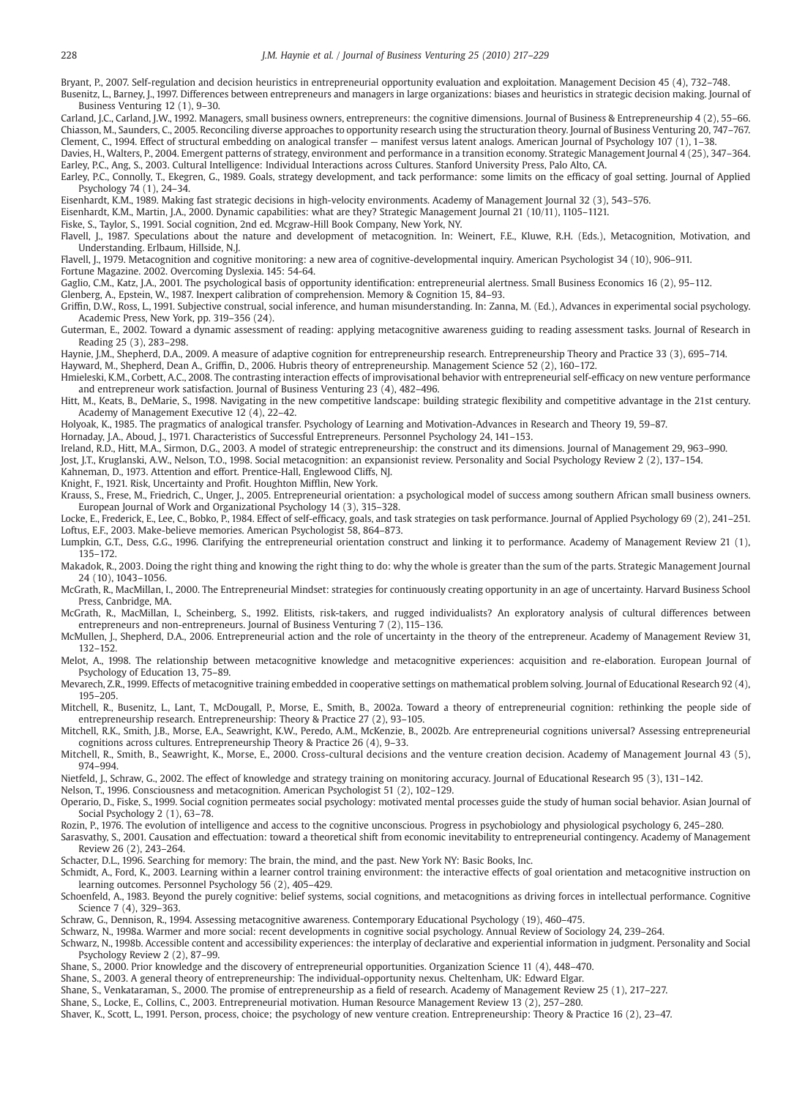<span id="page-11-0"></span>Bryant, P., 2007. Self-regulation and decision heuristics in entrepreneurial opportunity evaluation and exploitation. Management Decision 45 (4), 732–748. Busenitz, L., Barney, J., 1997. Differences between entrepreneurs and managers in large organizations: biases and heuristics in strategic decision making. Journal of Business Venturing 12 (1), 9–30.

Carland, J.C., Carland, J.W., 1992. Managers, small business owners, entrepreneurs: the cognitive dimensions. Journal of Business & Entrepreneurship 4 (2), 55–66. Chiasson, M., Saunders, C., 2005. Reconciling diverse approaches to opportunity research using the structuration theory. Journal of Business Venturing 20, 747–767. Clement, C., 1994. Effect of structural embedding on analogical transfer — manifest versus latent analogs. American Journal of Psychology 107 (1), 1–38.

Davies, H., Walters, P., 2004. Emergent patterns of strategy, environment and performance in a transition economy. Strategic Management Journal 4 (25), 347–364. Earley, P.C., Ang, S., 2003. Cultural Intelligence: Individual Interactions across Cultures. Stanford University Press, Palo Alto, CA.

Earley, P.C., Connolly, T., Ekegren, G., 1989. Goals, strategy development, and tack performance: some limits on the efficacy of goal setting. Journal of Applied Psychology 74 (1), 24–34.

Eisenhardt, K.M., 1989. Making fast strategic decisions in high-velocity environments. Academy of Management Journal 32 (3), 543–576.

Eisenhardt, K.M., Martin, J.A., 2000. Dynamic capabilities: what are they? Strategic Management Journal 21 (10/11), 1105–1121.

Fiske, S., Taylor, S., 1991. Social cognition, 2nd ed. Mcgraw-Hill Book Company, New York, NY.

Flavell, J., 1987. Speculations about the nature and development of metacognition. In: Weinert, F.E., Kluwe, R.H. (Eds.), Metacognition, Motivation, and Understanding. Erlbaum, Hillside, N.J.

Flavell, J., 1979. Metacognition and cognitive monitoring: a new area of cognitive-developmental inquiry. American Psychologist 34 (10), 906–911. Fortune Magazine. 2002. Overcoming Dyslexia. 145: 54-64.

Gaglio, C.M., Katz, J.A., 2001. The psychological basis of opportunity identification: entrepreneurial alertness. Small Business Economics 16 (2), 95–112.

Glenberg, A., Epstein, W., 1987. Inexpert calibration of comprehension. Memory & Cognition 15, 84–93.

Griffin, D.W., Ross, L., 1991. Subjective construal, social inference, and human misunderstanding. In: Zanna, M. (Ed.), Advances in experimental social psychology. Academic Press, New York, pp. 319–356 (24).

Guterman, E., 2002. Toward a dynamic assessment of reading: applying metacognitive awareness guiding to reading assessment tasks. Journal of Research in Reading 25 (3), 283–298.

Haynie, J.M., Shepherd, D.A., 2009. A measure of adaptive cognition for entrepreneurship research. Entrepreneurship Theory and Practice 33 (3), 695–714.

Hayward, M., Shepherd, Dean A., Griffin, D., 2006. Hubris theory of entrepreneurship. Management Science 52 (2), 160–172. Hmieleski, K.M., Corbett, A.C., 2008. The contrasting interaction effects of improvisational behavior with entrepreneurial self-efficacy on new venture performance

and entrepreneur work satisfaction. Journal of Business Venturing 23 (4), 482–496.

Hitt, M., Keats, B., DeMarie, S., 1998. Navigating in the new competitive landscape: building strategic flexibility and competitive advantage in the 21st century. Academy of Management Executive 12 (4), 22–42.

Holyoak, K., 1985. The pragmatics of analogical transfer. Psychology of Learning and Motivation-Advances in Research and Theory 19, 59–87.

Hornaday, J.A., Aboud, J., 1971. Characteristics of Successful Entrepreneurs. Personnel Psychology 24, 141–153.

Ireland, R.D., Hitt, M.A., Sirmon, D.G., 2003. A model of strategic entrepreneurship: the construct and its dimensions. Journal of Management 29, 963–990.

Jost, J.T., Kruglanski, A.W., Nelson, T.O., 1998. Social metacognition: an expansionist review. Personality and Social Psychology Review 2 (2), 137–154.

Kahneman, D., 1973. Attention and effort. Prentice-Hall, Englewood Cliffs, NJ.

Knight, F., 1921. Risk, Uncertainty and Profit. Houghton Mifflin, New York.

Krauss, S., Frese, M., Friedrich, C., Unger, J., 2005. Entrepreneurial orientation: a psychological model of success among southern African small business owners. European Journal of Work and Organizational Psychology 14 (3), 315–328.

Locke, E., Frederick, E., Lee, C., Bobko, P., 1984. Effect of self-efficacy, goals, and task strategies on task performance. Journal of Applied Psychology 69 (2), 241-251. Loftus, E.F., 2003. Make-believe memories. American Psychologist 58, 864–873.

Lumpkin, G.T., Dess, G.G., 1996. Clarifying the entrepreneurial orientation construct and linking it to performance. Academy of Management Review 21 (1), 135–172.

Makadok, R., 2003. Doing the right thing and knowing the right thing to do: why the whole is greater than the sum of the parts. Strategic Management Journal 24 (10), 1043–1056.

McGrath, R., MacMillan, I., 2000. The Entrepreneurial Mindset: strategies for continuously creating opportunity in an age of uncertainty. Harvard Business School Press, Canbridge, MA.

McGrath, R., MacMillan, I., Scheinberg, S., 1992. Elitists, risk-takers, and rugged individualists? An exploratory analysis of cultural differences between entrepreneurs and non-entrepreneurs. Journal of Business Venturing 7 (2), 115–136.

McMullen, J., Shepherd, D.A., 2006. Entrepreneurial action and the role of uncertainty in the theory of the entrepreneur. Academy of Management Review 31, 132–152.

Melot, A., 1998. The relationship between metacognitive knowledge and metacognitive experiences: acquisition and re-elaboration. European Journal of Psychology of Education 13, 75–89.

Mevarech, Z.R., 1999. Effects of metacognitive training embedded in cooperative settings on mathematical problem solving. Journal of Educational Research 92 (4), 195–205.

Mitchell, R., Busenitz, L., Lant, T., McDougall, P., Morse, E., Smith, B., 2002a. Toward a theory of entrepreneurial cognition: rethinking the people side of entrepreneurship research. Entrepreneurship: Theory & Practice 27 (2), 93–105.

Mitchell, R.K., Smith, J.B., Morse, E.A., Seawright, K.W., Peredo, A.M., McKenzie, B., 2002b. Are entrepreneurial cognitions universal? Assessing entrepreneurial cognitions across cultures. Entrepreneurship Theory & Practice 26 (4), 9–33.

Mitchell, R., Smith, B., Seawright, K., Morse, E., 2000. Cross-cultural decisions and the venture creation decision. Academy of Management Journal 43 (5), 974–994.

Nietfeld, J., Schraw, G., 2002. The effect of knowledge and strategy training on monitoring accuracy. Journal of Educational Research 95 (3), 131–142.

Nelson, T., 1996. Consciousness and metacognition. American Psychologist 51 (2), 102–129.

Operario, D., Fiske, S., 1999. Social cognition permeates social psychology: motivated mental processes guide the study of human social behavior. Asian Journal of Social Psychology 2 (1), 63–78.

Rozin, P., 1976. The evolution of intelligence and access to the cognitive unconscious. Progress in psychobiology and physiological psychology 6, 245–280.

Sarasvathy, S., 2001. Causation and effectuation: toward a theoretical shift from economic inevitability to entrepreneurial contingency. Academy of Management Review 26 (2), 243–264.

Schacter, D.L., 1996. Searching for memory: The brain, the mind, and the past. New York NY: Basic Books, Inc.

Schmidt, A., Ford, K., 2003. Learning within a learner control training environment: the interactive effects of goal orientation and metacognitive instruction on learning outcomes. Personnel Psychology 56 (2), 405–429.

Schoenfeld, A., 1983. Beyond the purely cognitive: belief systems, social cognitions, and metacognitions as driving forces in intellectual performance. Cognitive Science 7 (4), 329–363.

Schraw, G., Dennison, R., 1994. Assessing metacognitive awareness. Contemporary Educational Psychology (19), 460–475.

Schwarz, N., 1998a. Warmer and more social: recent developments in cognitive social psychology. Annual Review of Sociology 24, 239–264.

Schwarz, N., 1998b. Accessible content and accessibility experiences: the interplay of declarative and experiential information in judgment. Personality and Social Psychology Review 2 (2), 87–99.

Shane, S., 2000. Prior knowledge and the discovery of entrepreneurial opportunities. Organization Science 11 (4), 448–470.

Shane, S., 2003. A general theory of entrepreneurship: The individual-opportunity nexus. Cheltenham, UK: Edward Elgar.

Shane, S., Venkataraman, S., 2000. The promise of entrepreneurship as a field of research. Academy of Management Review 25 (1), 217–227.

Shane, S., Locke, E., Collins, C., 2003. Entrepreneurial motivation. Human Resource Management Review 13 (2), 257–280.

Shaver, K., Scott, L., 1991. Person, process, choice; the psychology of new venture creation. Entrepreneurship: Theory & Practice 16 (2), 23–47.